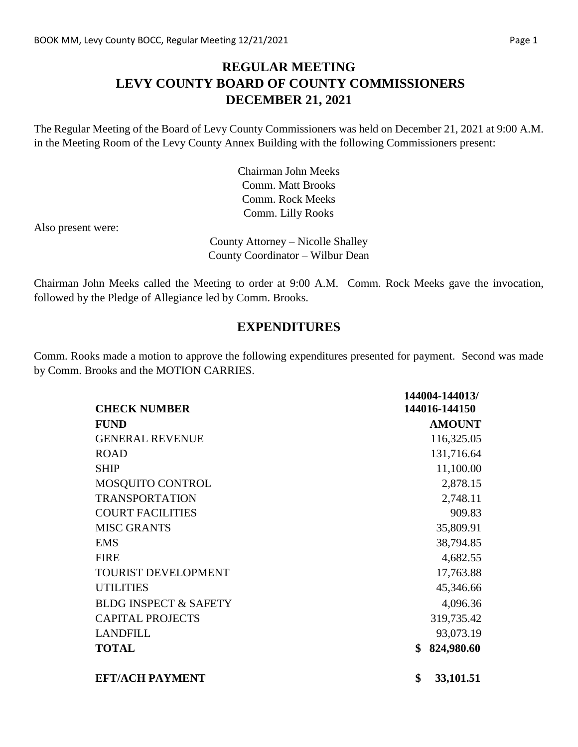## **REGULAR MEETING LEVY COUNTY BOARD OF COUNTY COMMISSIONERS DECEMBER 21, 2021**

The Regular Meeting of the Board of Levy County Commissioners was held on December 21, 2021 at 9:00 A.M. in the Meeting Room of the Levy County Annex Building with the following Commissioners present:

> Chairman John Meeks Comm. Matt Brooks Comm. Rock Meeks Comm. Lilly Rooks

Also present were:

County Attorney – Nicolle Shalley County Coordinator – Wilbur Dean

Chairman John Meeks called the Meeting to order at 9:00 A.M. Comm. Rock Meeks gave the invocation, followed by the Pledge of Allegiance led by Comm. Brooks.

#### **EXPENDITURES**

Comm. Rooks made a motion to approve the following expenditures presented for payment. Second was made by Comm. Brooks and the MOTION CARRIES.

|                                  | 144004-144013/   |
|----------------------------------|------------------|
| <b>CHECK NUMBER</b>              | 144016-144150    |
| <b>FUND</b>                      | <b>AMOUNT</b>    |
| <b>GENERAL REVENUE</b>           | 116,325.05       |
| <b>ROAD</b>                      | 131,716.64       |
| <b>SHIP</b>                      | 11,100.00        |
| MOSQUITO CONTROL                 | 2,878.15         |
| <b>TRANSPORTATION</b>            | 2,748.11         |
| <b>COURT FACILITIES</b>          | 909.83           |
| <b>MISC GRANTS</b>               | 35,809.91        |
| <b>EMS</b>                       | 38,794.85        |
| <b>FIRE</b>                      | 4,682.55         |
| <b>TOURIST DEVELOPMENT</b>       | 17,763.88        |
| <b>UTILITIES</b>                 | 45,346.66        |
| <b>BLDG INSPECT &amp; SAFETY</b> | 4,096.36         |
| <b>CAPITAL PROJECTS</b>          | 319,735.42       |
| <b>LANDFILL</b>                  | 93,073.19        |
| <b>TOTAL</b>                     | \$<br>824,980.60 |
| <b>EFT/ACH PAYMENT</b>           | \$<br>33,101.51  |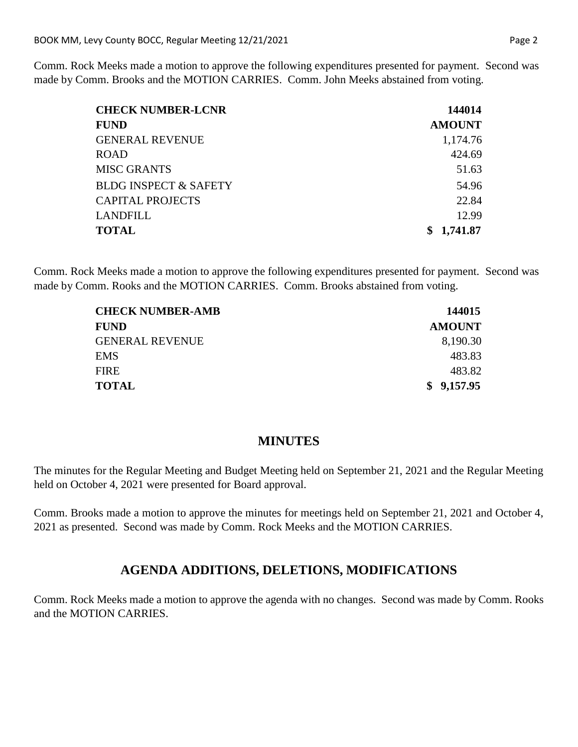Comm. Rock Meeks made a motion to approve the following expenditures presented for payment. Second was made by Comm. Brooks and the MOTION CARRIES. Comm. John Meeks abstained from voting.

| <b>CHECK NUMBER-LCNR</b>         | 144014        |
|----------------------------------|---------------|
| <b>FUND</b>                      | <b>AMOUNT</b> |
| <b>GENERAL REVENUE</b>           | 1,174.76      |
| <b>ROAD</b>                      | 424.69        |
| <b>MISC GRANTS</b>               | 51.63         |
| <b>BLDG INSPECT &amp; SAFETY</b> | 54.96         |
| <b>CAPITAL PROJECTS</b>          | 22.84         |
| LANDFILL                         | 12.99         |
| <b>TOTAL</b>                     | 1,741.87      |

Comm. Rock Meeks made a motion to approve the following expenditures presented for payment. Second was made by Comm. Rooks and the MOTION CARRIES. Comm. Brooks abstained from voting.

| <b>CHECK NUMBER-AMB</b> | 144015        |  |
|-------------------------|---------------|--|
| <b>FUND</b>             | <b>AMOUNT</b> |  |
| <b>GENERAL REVENUE</b>  | 8,190.30      |  |
| <b>EMS</b>              | 483.83        |  |
| <b>FIRE</b>             | 483.82        |  |
| <b>TOTAL</b>            | \$9,157.95    |  |

#### **MINUTES**

The minutes for the Regular Meeting and Budget Meeting held on September 21, 2021 and the Regular Meeting held on October 4, 2021 were presented for Board approval.

Comm. Brooks made a motion to approve the minutes for meetings held on September 21, 2021 and October 4, 2021 as presented. Second was made by Comm. Rock Meeks and the MOTION CARRIES.

## **AGENDA ADDITIONS, DELETIONS, MODIFICATIONS**

Comm. Rock Meeks made a motion to approve the agenda with no changes. Second was made by Comm. Rooks and the MOTION CARRIES.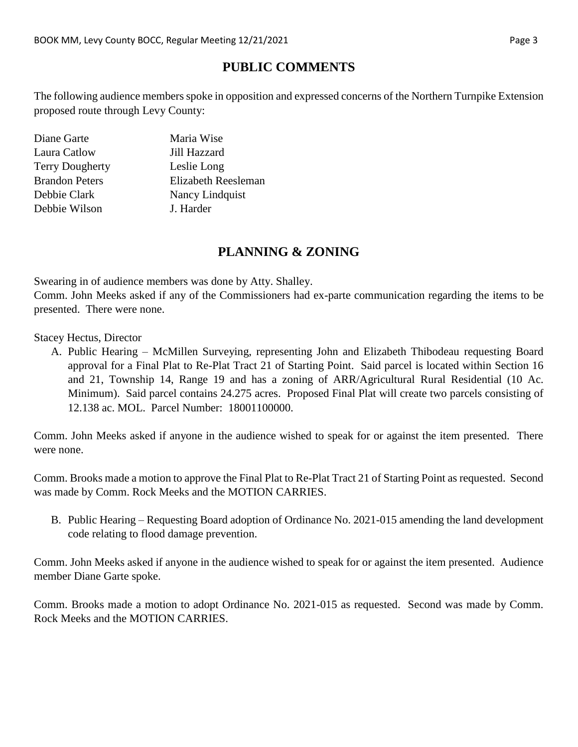# **PUBLIC COMMENTS**

The following audience members spoke in opposition and expressed concerns of the Northern Turnpike Extension proposed route through Levy County:

| Diane Garte            | Maria Wise          |
|------------------------|---------------------|
| Laura Catlow           | Jill Hazzard        |
| <b>Terry Dougherty</b> | Leslie Long         |
| <b>Brandon Peters</b>  | Elizabeth Reesleman |
| Debbie Clark           | Nancy Lindquist     |
| Debbie Wilson          | J. Harder           |

## **PLANNING & ZONING**

Swearing in of audience members was done by Atty. Shalley.

Comm. John Meeks asked if any of the Commissioners had ex-parte communication regarding the items to be presented. There were none.

Stacey Hectus, Director

A. Public Hearing – McMillen Surveying, representing John and Elizabeth Thibodeau requesting Board approval for a Final Plat to Re-Plat Tract 21 of Starting Point. Said parcel is located within Section 16 and 21, Township 14, Range 19 and has a zoning of ARR/Agricultural Rural Residential (10 Ac. Minimum). Said parcel contains 24.275 acres. Proposed Final Plat will create two parcels consisting of 12.138 ac. MOL. Parcel Number: 18001100000.

Comm. John Meeks asked if anyone in the audience wished to speak for or against the item presented. There were none.

Comm. Brooks made a motion to approve the Final Plat to Re-Plat Tract 21 of Starting Point as requested. Second was made by Comm. Rock Meeks and the MOTION CARRIES.

B. Public Hearing – Requesting Board adoption of Ordinance No. 2021-015 amending the land development code relating to flood damage prevention.

Comm. John Meeks asked if anyone in the audience wished to speak for or against the item presented. Audience member Diane Garte spoke.

Comm. Brooks made a motion to adopt Ordinance No. 2021-015 as requested. Second was made by Comm. Rock Meeks and the MOTION CARRIES.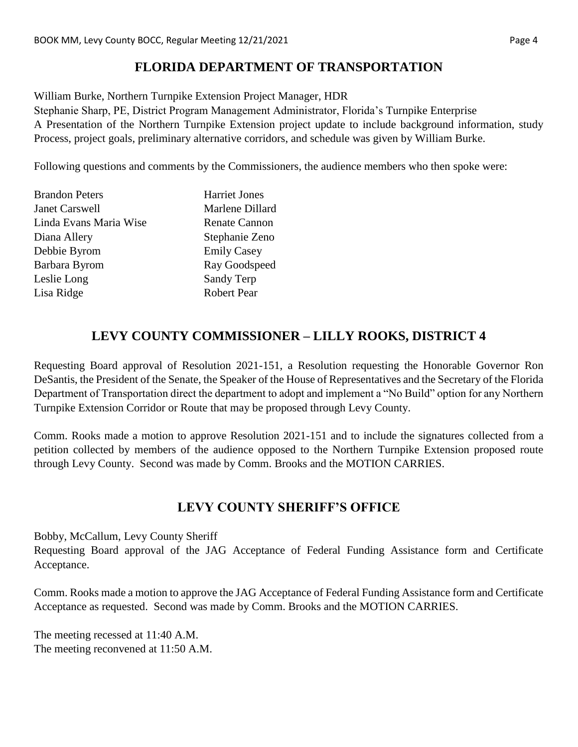# **FLORIDA DEPARTMENT OF TRANSPORTATION**

William Burke, Northern Turnpike Extension Project Manager, HDR

Stephanie Sharp, PE, District Program Management Administrator, Florida's Turnpike Enterprise A Presentation of the Northern Turnpike Extension project update to include background information, study Process, project goals, preliminary alternative corridors, and schedule was given by William Burke.

Following questions and comments by the Commissioners, the audience members who then spoke were:

| <b>Brandon Peters</b>  | <b>Harriet Jones</b> |
|------------------------|----------------------|
| <b>Janet Carswell</b>  | Marlene Dillard      |
| Linda Evans Maria Wise | <b>Renate Cannon</b> |
| Diana Allery           | Stephanie Zeno       |
| Debbie Byrom           | <b>Emily Casey</b>   |
| Barbara Byrom          | Ray Goodspeed        |
| Leslie Long            | Sandy Terp           |
| Lisa Ridge             | <b>Robert Pear</b>   |

# **LEVY COUNTY COMMISSIONER – LILLY ROOKS, DISTRICT 4**

Requesting Board approval of Resolution 2021-151, a Resolution requesting the Honorable Governor Ron DeSantis, the President of the Senate, the Speaker of the House of Representatives and the Secretary of the Florida Department of Transportation direct the department to adopt and implement a "No Build" option for any Northern Turnpike Extension Corridor or Route that may be proposed through Levy County.

Comm. Rooks made a motion to approve Resolution 2021-151 and to include the signatures collected from a petition collected by members of the audience opposed to the Northern Turnpike Extension proposed route through Levy County. Second was made by Comm. Brooks and the MOTION CARRIES.

## **LEVY COUNTY SHERIFF'S OFFICE**

Bobby, McCallum, Levy County Sheriff

Requesting Board approval of the JAG Acceptance of Federal Funding Assistance form and Certificate Acceptance.

Comm. Rooks made a motion to approve the JAG Acceptance of Federal Funding Assistance form and Certificate Acceptance as requested. Second was made by Comm. Brooks and the MOTION CARRIES.

The meeting recessed at 11:40 A.M. The meeting reconvened at 11:50 A.M.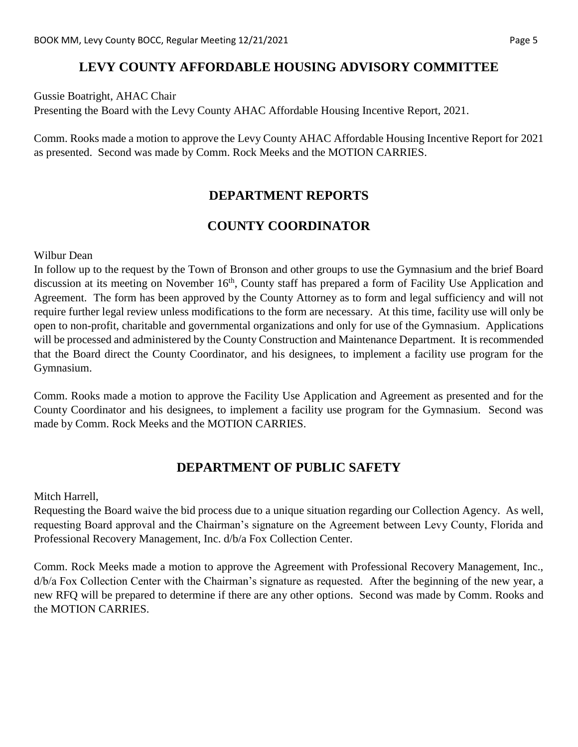## **LEVY COUNTY AFFORDABLE HOUSING ADVISORY COMMITTEE**

Gussie Boatright, AHAC Chair Presenting the Board with the Levy County AHAC Affordable Housing Incentive Report, 2021.

Comm. Rooks made a motion to approve the Levy County AHAC Affordable Housing Incentive Report for 2021 as presented. Second was made by Comm. Rock Meeks and the MOTION CARRIES.

# **DEPARTMENT REPORTS**

# **COUNTY COORDINATOR**

Wilbur Dean

In follow up to the request by the Town of Bronson and other groups to use the Gymnasium and the brief Board discussion at its meeting on November 16<sup>th</sup>, County staff has prepared a form of Facility Use Application and Agreement. The form has been approved by the County Attorney as to form and legal sufficiency and will not require further legal review unless modifications to the form are necessary. At this time, facility use will only be open to non-profit, charitable and governmental organizations and only for use of the Gymnasium. Applications will be processed and administered by the County Construction and Maintenance Department. It is recommended that the Board direct the County Coordinator, and his designees, to implement a facility use program for the Gymnasium.

Comm. Rooks made a motion to approve the Facility Use Application and Agreement as presented and for the County Coordinator and his designees, to implement a facility use program for the Gymnasium. Second was made by Comm. Rock Meeks and the MOTION CARRIES.

# **DEPARTMENT OF PUBLIC SAFETY**

Mitch Harrell,

Requesting the Board waive the bid process due to a unique situation regarding our Collection Agency. As well, requesting Board approval and the Chairman's signature on the Agreement between Levy County, Florida and Professional Recovery Management, Inc. d/b/a Fox Collection Center.

Comm. Rock Meeks made a motion to approve the Agreement with Professional Recovery Management, Inc., d/b/a Fox Collection Center with the Chairman's signature as requested. After the beginning of the new year, a new RFQ will be prepared to determine if there are any other options. Second was made by Comm. Rooks and the MOTION CARRIES.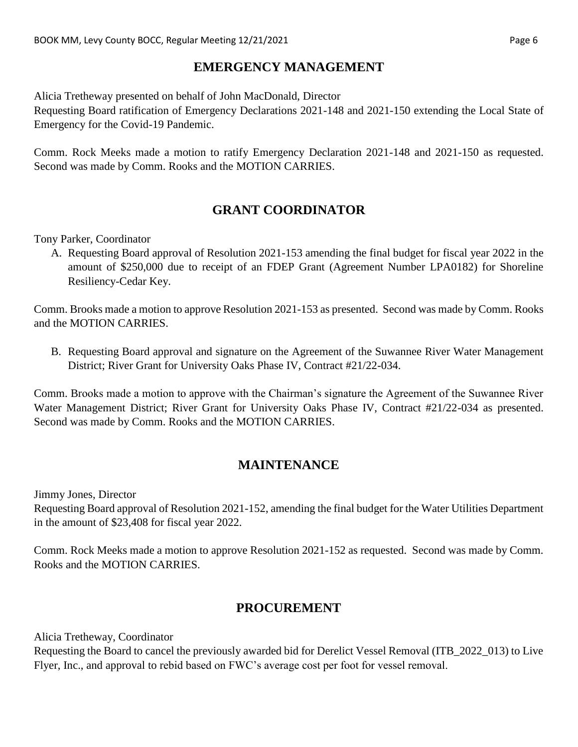## **EMERGENCY MANAGEMENT**

Alicia Tretheway presented on behalf of John MacDonald, Director

Requesting Board ratification of Emergency Declarations 2021-148 and 2021-150 extending the Local State of Emergency for the Covid-19 Pandemic.

Comm. Rock Meeks made a motion to ratify Emergency Declaration 2021-148 and 2021-150 as requested. Second was made by Comm. Rooks and the MOTION CARRIES.

# **GRANT COORDINATOR**

Tony Parker, Coordinator

A. Requesting Board approval of Resolution 2021-153 amending the final budget for fiscal year 2022 in the amount of \$250,000 due to receipt of an FDEP Grant (Agreement Number LPA0182) for Shoreline Resiliency-Cedar Key.

Comm. Brooks made a motion to approve Resolution 2021-153 as presented. Second was made by Comm. Rooks and the MOTION CARRIES.

B. Requesting Board approval and signature on the Agreement of the Suwannee River Water Management District; River Grant for University Oaks Phase IV, Contract #21/22-034.

Comm. Brooks made a motion to approve with the Chairman's signature the Agreement of the Suwannee River Water Management District; River Grant for University Oaks Phase IV, Contract #21/22-034 as presented. Second was made by Comm. Rooks and the MOTION CARRIES.

# **MAINTENANCE**

Jimmy Jones, Director

Requesting Board approval of Resolution 2021-152, amending the final budget for the Water Utilities Department in the amount of \$23,408 for fiscal year 2022.

Comm. Rock Meeks made a motion to approve Resolution 2021-152 as requested. Second was made by Comm. Rooks and the MOTION CARRIES.

## **PROCUREMENT**

Alicia Tretheway, Coordinator

Requesting the Board to cancel the previously awarded bid for Derelict Vessel Removal (ITB\_2022\_013) to Live Flyer, Inc., and approval to rebid based on FWC's average cost per foot for vessel removal.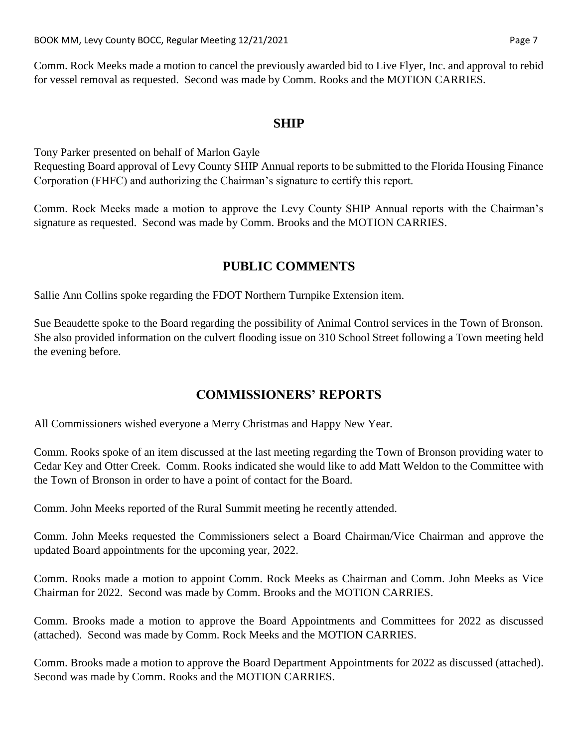Comm. Rock Meeks made a motion to cancel the previously awarded bid to Live Flyer, Inc. and approval to rebid for vessel removal as requested. Second was made by Comm. Rooks and the MOTION CARRIES.

#### **SHIP**

Tony Parker presented on behalf of Marlon Gayle Requesting Board approval of Levy County SHIP Annual reports to be submitted to the Florida Housing Finance Corporation (FHFC) and authorizing the Chairman's signature to certify this report.

Comm. Rock Meeks made a motion to approve the Levy County SHIP Annual reports with the Chairman's signature as requested. Second was made by Comm. Brooks and the MOTION CARRIES.

## **PUBLIC COMMENTS**

Sallie Ann Collins spoke regarding the FDOT Northern Turnpike Extension item.

Sue Beaudette spoke to the Board regarding the possibility of Animal Control services in the Town of Bronson. She also provided information on the culvert flooding issue on 310 School Street following a Town meeting held the evening before.

#### **COMMISSIONERS' REPORTS**

All Commissioners wished everyone a Merry Christmas and Happy New Year.

Comm. Rooks spoke of an item discussed at the last meeting regarding the Town of Bronson providing water to Cedar Key and Otter Creek. Comm. Rooks indicated she would like to add Matt Weldon to the Committee with the Town of Bronson in order to have a point of contact for the Board.

Comm. John Meeks reported of the Rural Summit meeting he recently attended.

Comm. John Meeks requested the Commissioners select a Board Chairman/Vice Chairman and approve the updated Board appointments for the upcoming year, 2022.

Comm. Rooks made a motion to appoint Comm. Rock Meeks as Chairman and Comm. John Meeks as Vice Chairman for 2022. Second was made by Comm. Brooks and the MOTION CARRIES.

Comm. Brooks made a motion to approve the Board Appointments and Committees for 2022 as discussed (attached). Second was made by Comm. Rock Meeks and the MOTION CARRIES.

Comm. Brooks made a motion to approve the Board Department Appointments for 2022 as discussed (attached). Second was made by Comm. Rooks and the MOTION CARRIES.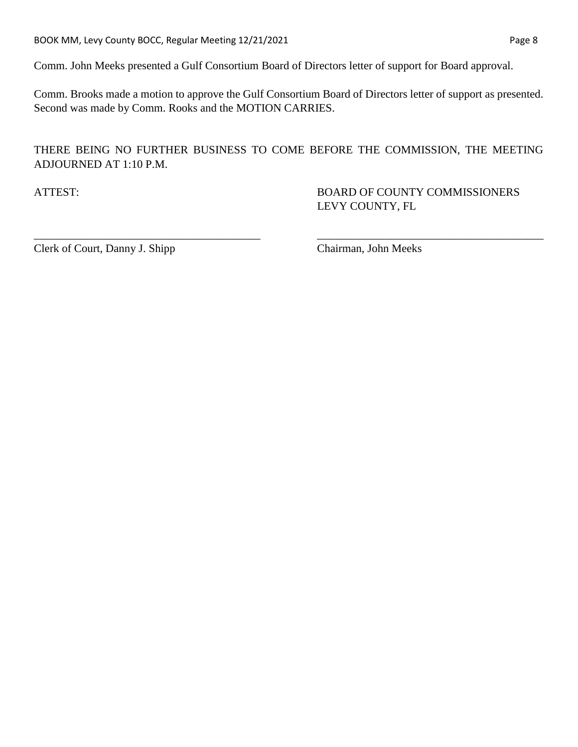Comm. John Meeks presented a Gulf Consortium Board of Directors letter of support for Board approval.

Comm. Brooks made a motion to approve the Gulf Consortium Board of Directors letter of support as presented. Second was made by Comm. Rooks and the MOTION CARRIES.

#### THERE BEING NO FURTHER BUSINESS TO COME BEFORE THE COMMISSION, THE MEETING ADJOURNED AT 1:10 P.M.

\_\_\_\_\_\_\_\_\_\_\_\_\_\_\_\_\_\_\_\_\_\_\_\_\_\_\_\_\_\_\_\_\_\_\_\_\_\_\_\_ \_\_\_\_\_\_\_\_\_\_\_\_\_\_\_\_\_\_\_\_\_\_\_\_\_\_\_\_\_\_\_\_\_\_\_\_\_\_\_\_

ATTEST: BOARD OF COUNTY COMMISSIONERS LEVY COUNTY, FL

Clerk of Court, Danny J. Shipp Chairman, John Meeks